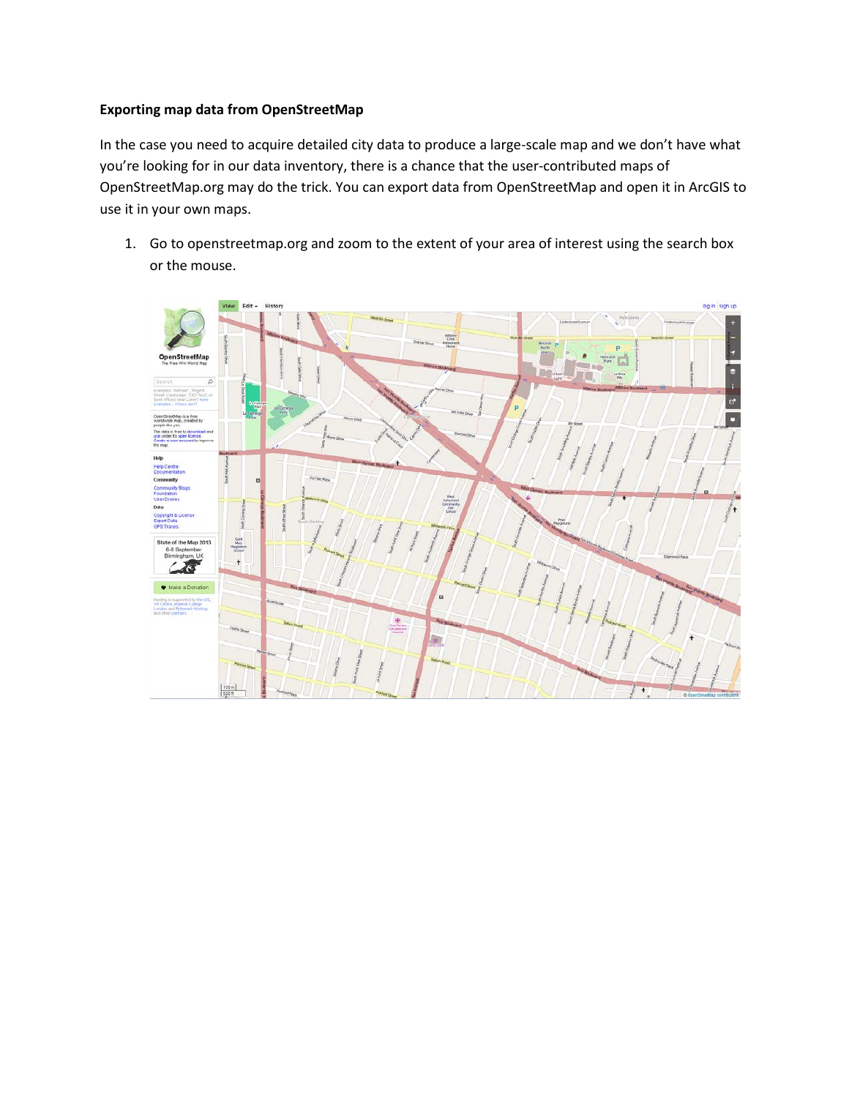## **Exporting map data from OpenStreetMap**

In the case you need to acquire detailed city data to produce a large-scale map and we don't have what you're looking for in our data inventory, there is a chance that the user-contributed maps of OpenStreetMap.org may do the trick. You can export data from OpenStreetMap and open it in ArcGIS to use it in your own maps.

1. Go to openstreetmap.org and zoom to the extent of your area of interest using the search box or the mouse.

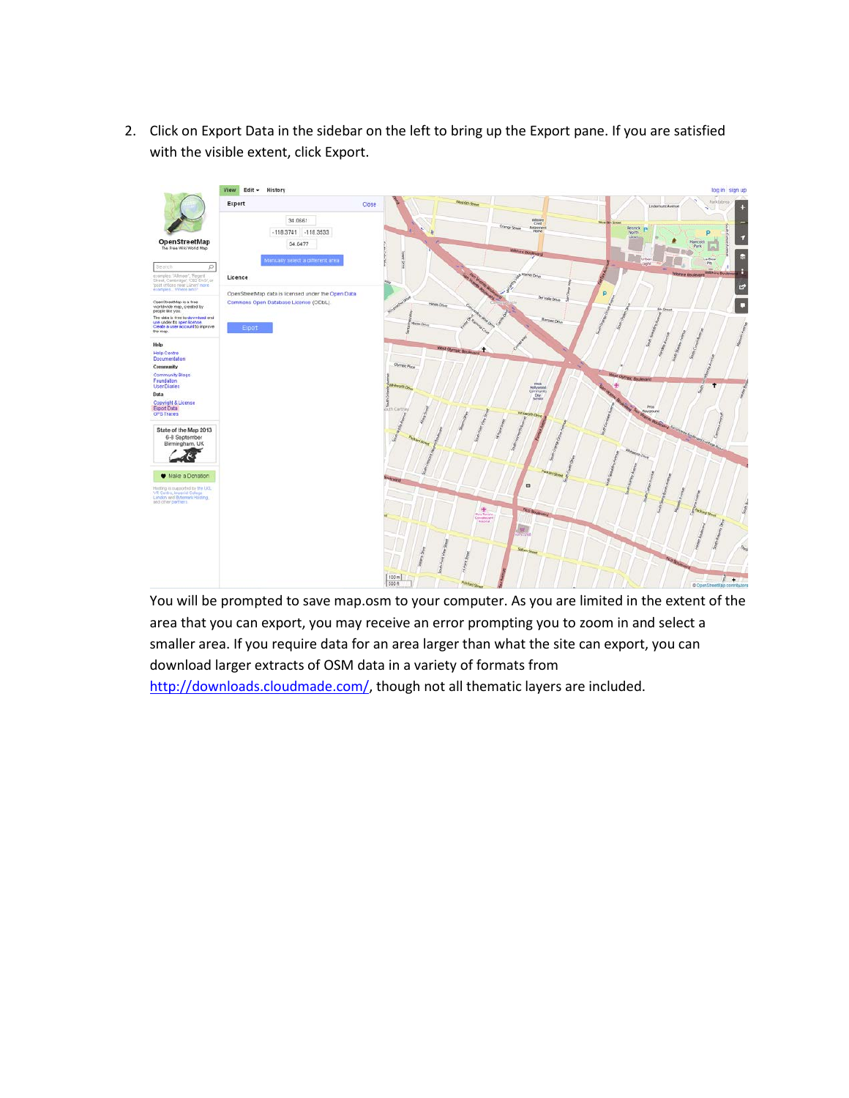2. Click on Export Data in the sidebar on the left to bring up the Export pane. If you are satisfied with the visible extent, click Export.



You will be prompted to save map.osm to your computer. As you are limited in the extent of the area that you can export, you may receive an error prompting you to zoom in and select a smaller area. If you require data for an area larger than what the site can export, you can download larger extracts of OSM data in a variety of formats from [http://downloads.cloudmade.com/,](http://downloads.cloudmade.com/) though not all thematic layers are included.